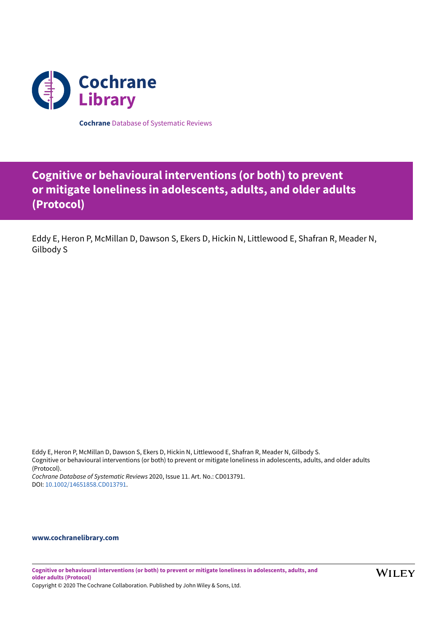

**Cochrane** Database of Systematic Reviews

# **Cognitive or behavioural interventions (or both) to prevent or mitigate loneliness in adolescents, adults, and older adults (Protocol)**

Eddy E, Heron P, McMillan D, Dawson S, Ekers D, Hickin N, Littlewood E, Shafran R, Meader N, Gilbody S

Eddy E, Heron P, McMillan D, Dawson S, Ekers D, Hickin N, Littlewood E, Shafran R, Meader N, Gilbody S. Cognitive or behavioural interventions (or both) to prevent or mitigate loneliness in adolescents, adults, and older adults (Protocol). *Cochrane Database of Systematic Reviews* 2020, Issue 11. Art. No.: CD013791. DOI: [10.1002/14651858.CD013791](https://doi.org/10.1002%2F14651858.CD013791).

## **[www.cochranelibrary.com](https://www.cochranelibrary.com)**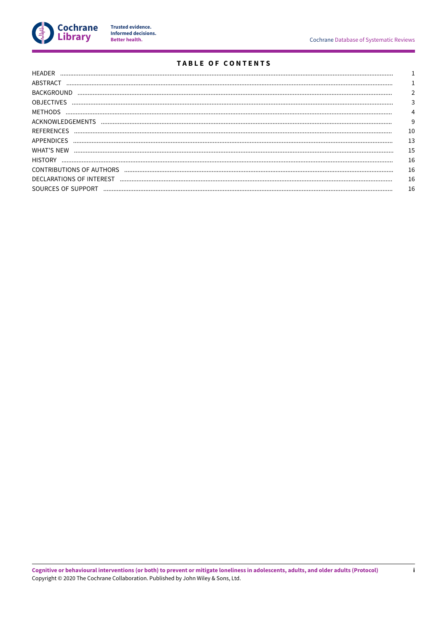

Trusted evidence.<br>Informed decisions.<br>Better health.

## **TABLE OF CONTENTS**

| HEADER             |    |
|--------------------|----|
| ABSTRACT           |    |
| <b>BACKGROUND</b>  |    |
| <b>OBJECTIVES</b>  |    |
| <b>METHODS</b>     |    |
| ACKNOWLEDGEMENTS   | 9  |
| <b>REFERENCES</b>  | 10 |
| APPENDICES         | 13 |
| <b>WHAT'S NEW</b>  | 15 |
| <b>HISTORY</b>     | 16 |
|                    | 16 |
|                    | 16 |
| SOURCES OF SUPPORT | 16 |
|                    |    |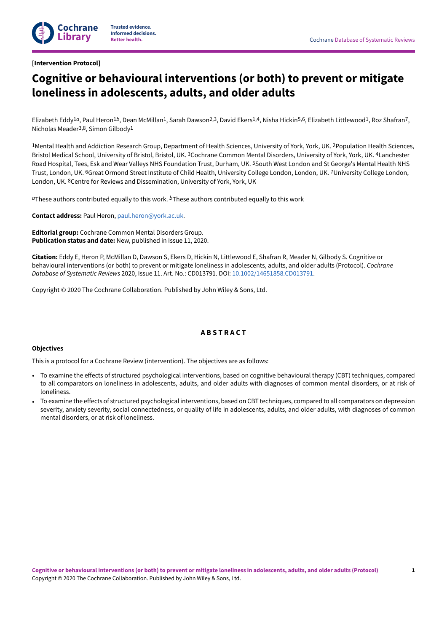

## <span id="page-2-0"></span>**[Intervention Protocol]**

# **Cognitive or behavioural interventions (or both) to prevent or mitigate loneliness in adolescents, adults, and older adults**

Elizabeth Eddy<sup>1a</sup>, Paul Heron<sup>1b</sup>, Dean McMillan<sup>1</sup>, Sarah Dawson<sup>2,3</sup>, David Ekers<sup>1,4</sup>, Nisha Hickin<sup>5,6</sup>, Elizabeth Littlewood<sup>1</sup>, Roz Shafran<sup>7</sup>, Nicholas Meader 3,8, Simon Gilbody1

<sup>1</sup>Mental Health and Addiction Research Group, Department of Health Sciences, University of York, York, UK. <sup>2</sup>Population Health Sciences, Bristol Medical School, University of Bristol, Bristol, UK. 3Cochrane Common Mental Disorders, University of York, York, UK. 4Lanchester Road Hospital, Tees, Esk and Wear Valleys NHS Foundation Trust, Durham, UK. 5South West London and St George's Mental Health NHS Trust, London, UK. 6Great Ormond Street Institute of Child Health, University College London, London, UK. 7University College London, London, UK. 8Centre for Reviews and Dissemination, University of York, York, UK

*a*These authors contributed equally to this work. *b*These authors contributed equally to this work

**Contact address:** Paul Heron, [paul.heron@york.ac.uk](mailto:paul.heron@york.ac.uk).

**Editorial group:** Cochrane Common Mental Disorders Group. **Publication status and date:** New, published in Issue 11, 2020.

**Citation:** Eddy E, Heron P, McMillan D, Dawson S, Ekers D, Hickin N, Littlewood E, Shafran R, Meader N, Gilbody S. Cognitive or behavioural interventions (or both) to prevent or mitigate loneliness in adolescents, adults, and older adults (Protocol). *Cochrane Database of Systematic Reviews* 2020, Issue 11. Art. No.: CD013791. DOI: [10.1002/14651858.CD013791](https://doi.org/10.1002%2F14651858.CD013791).

Copyright © 2020 The Cochrane Collaboration. Published by John Wiley & Sons, Ltd.

## **A B S T R A C T**

## <span id="page-2-1"></span>**Objectives**

This is a protocol for a Cochrane Review (intervention). The objectives are as follows:

- To examine the effects of structured psychological interventions, based on cognitive behavioural therapy (CBT) techniques, compared to all comparators on loneliness in adolescents, adults, and older adults with diagnoses of common mental disorders, or at risk of loneliness.
- To examine the effects of structured psychological interventions, based on CBT techniques, compared to all comparators on depression severity, anxiety severity, social connectedness, or quality of life in adolescents, adults, and older adults, with diagnoses of common mental disorders, or at risk of loneliness.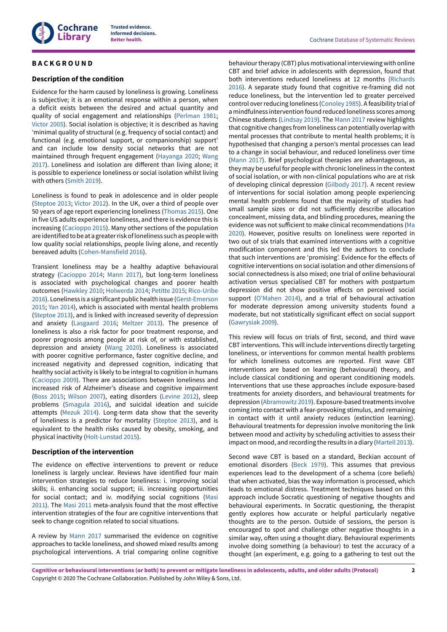

## <span id="page-3-0"></span>**B A C K G R O U N D**

#### **Description of the condition**

Evidence for the harm caused by loneliness is growing. Loneliness is subjective; it is an emotional response within a person, when a deficit exists between the desired and actual quantity and quality of social engagement and relationships ([Perlman](#page-13-0) 1981; [Victor](#page-14-1) 2005). Social isolation is objective; it is described as having 'minimal quality of structural (e.g. frequency of social contact) and functional (e.g. emotional support, or companionship) support' and can include low density social networks that are not maintained through frequent engagement [\(Hayanga](#page-12-0) 2020; [Wang](#page-14-2) [2017](#page-14-2)). Loneliness and isolation are different than living alone; it is possible to experience loneliness or social isolation whilst living with others [\(Smith 2019\)](#page-13-1).

Loneliness is found to peak in adolescence and in older people [\(Steptoe](#page-14-3) 2013; [Victor](#page-14-4) 2012). In the UK, over a third of people over 50 years of age report experiencing loneliness [\(Thomas 2015](#page-14-5)). One in five US adults experience loneliness, and there is evidence this is increasing ([Cacioppo 2015](#page-11-1)). Many other sections of the population are identified to be at a greater risk of loneliness such as people with low quality social relationships, people living alone, and recently bereaved adults [\(Cohen-Mansfield 2016](#page-11-2)).

Transient loneliness may be a healthy adaptive behavioural strategy [\(Cacioppo 2014;](#page-11-3) [Mann 2017\)](#page-13-2), but long-term loneliness is associated with psychological changes and poorer health outcomes ([Hawkley](#page-12-1) 2010; [Holwerda](#page-12-2) 2014; [Petitte](#page-13-3) 2015; [Rico-Uribe](#page-13-4) [2016](#page-13-4)). Loneliness is a significant public health issue ([Gerst-Emerson](#page-12-3) [2015](#page-12-3); Yan [2014](#page-14-6)), which is associated with mental health problems [\(Steptoe](#page-14-3) 2013), and is linked with increased severity of depression and anxiety ([Lasgaard](#page-12-4) 2016; [Meltzer](#page-13-5) 2013). The presence of loneliness is also a risk factor for poor treatment response, and poorer prognosis among people at risk of, or with established, depression and anxiety [\(Wang](#page-14-7) 2020). Loneliness is associated with poorer cognitive performance, faster cognitive decline, and increased negativity and depressed cognition, indicating that healthy social activity is likely to be integral to cognition in humans [\(Cacioppo 2009\)](#page-11-4). There are associations between loneliness and increased risk of Alzheimer's disease and cognitive impairment [\(Boss 2015;](#page-11-5) [Wilson 2007\)](#page-14-8), eating disorders [\(Levine](#page-12-5) 2012), sleep problems ([Smagula 2016\)](#page-13-6), and suicidal ideation and suicide attempts ([Mezuk](#page-13-7) 2014). Long-term data show that the severity of loneliness is a predictor for mortality [\(Steptoe](#page-14-3) 2013), and is equivalent to the health risks caused by obesity, smoking, and physical inactivity [\(Holt-Lunstad](#page-12-6) 2015).

#### **Description of the intervention**

The evidence on effective interventions to prevent or reduce loneliness is largely unclear. Reviews have identified four main intervention strategies to reduce loneliness: i. improving social skills; ii. enhancing social support; iii. increasing opportunities for social contact; and iv. modifying social cognitions [\(Masi](#page-13-8) [2011](#page-13-8)). The [Masi 2011](#page-13-8) meta-analysis found that the most effective intervention strategies of the four are cognitive interventions that seek to change cognition related to social situations.

A review by [Mann 2017](#page-13-2) summarised the evidence on cognitive approaches to tackle loneliness, and showed mixed results among psychological interventions. A trial comparing online cognitive

behaviourtherapy (CBT) plus motivational interviewing with online CBT and brief advice in adolescents with depression, found that both interventions reduced loneliness at 12 months [\(Richards](#page-13-9) [2016\)](#page-13-9). A separate study found that cognitive re-framing did not reduce loneliness, but the intervention led to greater perceived control over reducing loneliness ([Conoley](#page-11-6) 1985). A feasibility trial of a mindfulness intervention found reduced loneliness scores among Chinese students ([Lindsay 2019\)](#page-12-7). The [Mann 2017](#page-13-2) review highlights that cognitive changes from loneliness can potentially overlap with mental processes that contribute to mental health problems; it is hypothesised that changing a person's mental processes can lead to a change in social behaviour, and reduced loneliness over time [\(Mann 2017](#page-13-2)). Brief psychological therapies are advantageous, as they may be useful for people with chronic loneliness in the context of social isolation, or with non-clinical populations who are at risk of developing clinical depression [\(Gilbody 2017\)](#page-12-8). A recent review of interventions for social isolation among people experiencing mental health problems found that the majority of studies had small sample sizes or did not sufficiently describe allocation concealment, missing data, and blinding procedures, meaning the evidence was not sufficient to make clinical recommendations ([Ma](#page-12-9) [2020\)](#page-12-9). However, positive results on loneliness were reported in two out of six trials that examined interventions with a cognitive modification component and this led the authors to conclude that such interventions are 'promising'. Evidence for the effects of cognitive interventions on social isolation and other dimensions of social connectedness is also mixed; one trial of online behavioural activation versus specialised CBT for mothers with postpartum depression did not show positive effects on perceived social support ([O'Mahen 2014](#page-13-10)), and a trial of behavioural activation for moderate depression among university students found a moderate, but not statistically significant effect on social support [\(Gawrysiak](#page-12-10) 2009).

This review will focus on trials of first, second, and third wave CBT interventions. This will include interventions directly targeting loneliness, or interventions for common mental health problems for which loneliness outcomes are reported. First wave CBT interventions are based on learning (behavioural) theory, and include classical conditioning and operant conditioning models. Interventions that use these approaches include exposure-based treatments for anxiety disorders, and behavioural treatments for depression [\(Abramowitz](#page-11-7) 2019). Exposure-based treatments involve coming into contact with a fear-provoking stimulus, and remaining in contact with it until anxiety reduces (extinction learning). Behavioural treatments for depression involve monitoring the link between mood and activity by scheduling activities to assess their impact on mood, and recording the results in a diary ([Martell](#page-13-11) 2013).

Second wave CBT is based on a standard, Beckian account of emotional disorders ([Beck 1979\)](#page-11-8). This assumes that previous experiences lead to the development of a schema (core beliefs) that when activated, bias the way information is processed, which leads to emotional distress. Treatment techniques based on this approach include Socratic questioning of negative thoughts and behavioural experiments. In Socratic questioning, the therapist gently explores how accurate or helpful particularly negative thoughts are to the person. Outside of sessions, the person is encouraged to spot and challenge other negative thoughts in a similar way, often using a thought diary. Behavioural experiments involve doing something (a behaviour) to test the accuracy of a thought (an experiment, e.g. going to a gathering to test out the

Cognitive or behavioural interventions (or both) to prevent or mitigate loneliness in adolescents, adults, and older adults (Protocol) Copyright © 2020 The Cochrane Collaboration. Published by John Wiley & Sons, Ltd.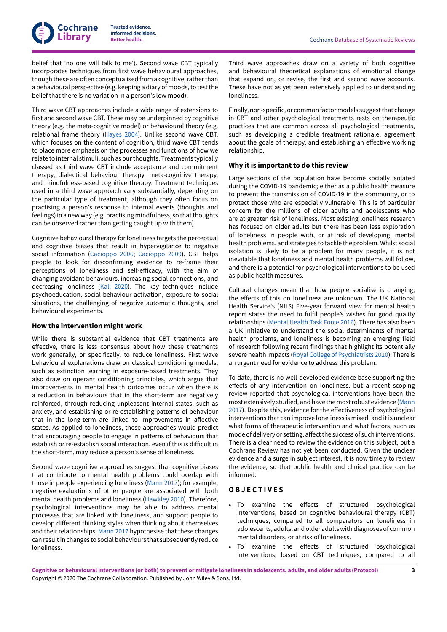

belief that 'no one will talk to me'). Second wave CBT typically incorporates techniques from first wave behavioural approaches, though these are often conceptualised from a cognitive, rather than a behavioural perspective (e.g. keeping a diary of moods,to testthe belief that there is no variation in a person's low mood).

Third wave CBT approaches include a wide range of extensions to first and second wave CBT. These may be underpinned by cognitive theory (e.g. the meta-cognitive model) or behavioural theory (e.g. relational frame theory [\(Hayes](#page-12-11) 2004). Unlike second wave CBT, which focuses on the content of cognition, third wave CBT tends to place more emphasis on the processes and functions of how we relate to internal stimuli, such as ourthoughts. Treatments typically classed as third wave CBT include acceptance and commitment therapy, dialectical behaviour therapy, meta-cognitive therapy, and mindfulness-based cognitive therapy. Treatment techniques used in a third wave approach vary substantially, depending on the particular type of treatment, although they often focus on practising a person's response to internal events (thoughts and feelings) in a new way (e.g. practising mindfulness, so that thoughts can be observed rather than getting caught up with them).

Cognitive behavioural therapy for loneliness targets the perceptual and cognitive biases that result in hypervigilance to negative social information [\(Cacioppo 2006;](#page-11-9) [Cacioppo 2009\)](#page-11-4). CBT helps people to look for disconfirming evidence to re-frame their perceptions of loneliness and self-efficacy, with the aim of changing avoidant behaviours, increasing social connections, and decreasing loneliness [\(Kall 2020](#page-12-12)). The key techniques include psychoeducation, social behaviour activation, exposure to social situations, the challenging of negative automatic thoughts, and behavioural experiments.

#### **How the intervention might work**

While there is substantial evidence that CBT treatments are effective, there is less consensus about how these treatments work generally, or specifically, to reduce loneliness. First wave behavioural explanations draw on classical conditioning models, such as extinction learning in exposure-based treatments. They also draw on operant conditioning principles, which argue that improvements in mental health outcomes occur when there is a reduction in behaviours that in the short-term are negatively reinforced, through reducing unpleasant internal states, such as anxiety, and establishing or re-establishing patterns of behaviour that in the long-term are linked to improvements in affective states. As applied to loneliness, these approaches would predict that encouraging people to engage in patterns of behaviours that establish or re-establish social interaction, even if this is difficult in the short-term, may reduce a person's sense of loneliness.

Second wave cognitive approaches suggest that cognitive biases that contribute to mental health problems could overlap with those in people experiencing loneliness ([Mann 2017\)](#page-13-2); for example, negative evaluations of other people are associated with both mental health problems and loneliness ([Hawkley](#page-12-1) 2010). Therefore, psychological interventions may be able to address mental processes that are linked with loneliness, and support people to develop different thinking styles when thinking about themselves and their relationships. [Mann 2017](#page-13-2) hypothesise that these changes can result in changes to social behaviours that subsequently reduce loneliness.

Third wave approaches draw on a variety of both cognitive and behavioural theoretical explanations of emotional change that expand on, or revise, the first and second wave accounts. These have not as yet been extensively applied to understanding loneliness.

Finally, non-specific, or common factor models suggest that change in CBT and other psychological treatments rests on therapeutic practices that are common across all psychological treatments, such as developing a credible treatment rationale, agreement about the goals of therapy, and establishing an effective working relationship.

## **Why it is important to do this review**

Large sections of the population have become socially isolated during the COVID-19 pandemic; either as a public health measure to prevent the transmission of COVID-19 in the community, or to protect those who are especially vulnerable. This is of particular concern for the millions of older adults and adolescents who are at greater risk of loneliness. Most existing loneliness research has focused on older adults but there has been less exploration of loneliness in people with, or at risk of developing, mental health problems, and strategies to tackle the problem. Whilst social isolation is likely to be a problem for many people, it is not inevitable that loneliness and mental health problems will follow, and there is a potential for psychological interventions to be used as public health measures.

Cultural changes mean that how people socialise is changing; the effects of this on loneliness are unknown. The UK National Health Service's (NHS) Five-year forward view for mental health report states the need to fulfil people's wishes for good quality relationships [\(Mental](#page-13-12) Health Task Force 2016). There has also been a UK initiative to understand the social determinants of mental health problems, and loneliness is becoming an emerging field of research following recent findings that highlight its potentially severe health impacts (Royal College of [Psychiatrists](#page-13-13) 2010). There is an urgent need for evidence to address this problem.

To date, there is no well-developed evidence base supporting the effects of any intervention on loneliness, but a recent scoping review reported that psychological interventions have been the most extensively studied, and have the mostrobust evidence ([Mann](#page-13-2) [2017\)](#page-13-2). Despite this, evidence for the effectiveness of psychological interventions that can improve loneliness is mixed, and it is unclear what forms of therapeutic intervention and what factors, such as mode of delivery or setting, affect the success of such interventions. There is a clear need to review the evidence on this subject, but a Cochrane Review has not yet been conducted. Given the unclear evidence and a surge in subject interest, it is now timely to review the evidence, so that public health and clinical practice can be informed.

#### <span id="page-4-0"></span>**O B J E C T I V E S**

- To examine the effects of structured psychological interventions, based on cognitive behavioural therapy (CBT) techniques, compared to all comparators on loneliness in adolescents, adults, and older adults with diagnoses of common mental disorders, or at risk of loneliness.
- To examine the effects of structured psychological interventions, based on CBT techniques, compared to all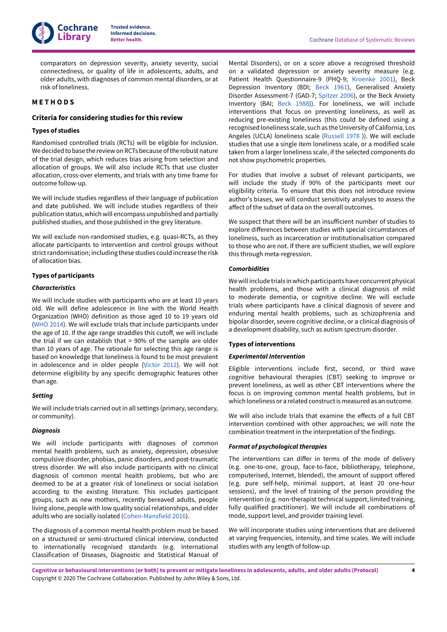

comparators on depression severity, anxiety severity, social connectedness, or quality of life in adolescents, adults, and older adults, with diagnoses of common mental disorders, or at risk of loneliness.

## <span id="page-5-0"></span>**M E T H O D S**

## **Criteria for considering studies for this review**

## **Types of studies**

Randomised controlled trials (RCTs) will be eligible for inclusion. We decided to base the review on RCTs because of the robust nature of the trial design, which reduces bias arising from selection and allocation of groups. We will also include RCTs that use cluster allocation, cross-over elements, and trials with any time frame for outcome follow-up.

We will include studies regardless of their language of publication and date published. We will include studies regardless of their publication status,whichwill encompass unpublished and partially published studies, and those published in the grey literature.

We will exclude non-randomised studies, e.g. quasi-RCTs, as they allocate participants to intervention and control groups without strict randomisation; including these studies could increase the risk of allocation bias.

## **Types of participants**

## *Characteristics*

We will include studies with participants who are at least 10 years old. We will define adolescence in line with the World Health Organization (WHO) definition as those aged 10 to 19 years old [\(WHO 2014](#page-14-9)). We will exclude trials that include participants under the age of 10. If the age range straddles this cutoff, we will include the trial if we can establish that > 90% of the sample are older than 10 years of age. The rationale for selecting this age range is based on knowledge that loneliness is found to be most prevalent in adolescence and in older people ([Victor](#page-14-4) 2012). We will not determine eligibility by any specific demographic features other than age.

## *Setting*

We will include trials carried out in all settings (primary, secondary, or community).

#### *Diagnosis*

We will include participants with diagnoses of common mental health problems, such as anxiety, depression, obsessive compulsive disorder, phobias, panic disorders, and post-traumatic stress disorder. We will also include participants with no clinical diagnosis of common mental health problems, but who are deemed to be at a greater risk of loneliness or social isolation according to the existing literature. This includes participant groups, such as new mothers, recently bereaved adults, people living alone, people with low quality social relationships, and older adults who are socially isolated [\(Cohen-Mansfield 2016](#page-11-2)).

The diagnosis of a common mental health problem must be based on a structured or semi-structured clinical interview, conducted to internationally recognised standards (e.g. International Classification of Diseases, Diagnostic and Statistical Manual of

Mental Disorders), or on a score above a recognised threshold on a validated depression or anxiety severity measure (e.g. Patient Health Questionnaire-9 (PHQ-9; [Kroenke](#page-12-13) 2001), Beck Depression Inventory (BDI; [Beck 1961\)](#page-11-10), Generalised Anxiety Disorder Assessment-7 (GAD-7; [Spitzer](#page-14-10) 2006), or the Beck Anxiety Inventory (BAI; [Beck 1988\)](#page-11-11)). For loneliness, we will include interventions that focus on preventing loneliness, as well as reducing pre-existing loneliness (this could be defined using a recognised loneliness scale, such as the University of California, Los Angeles (UCLA) loneliness scale ([Russell 1978](#page-13-14) )). We will exclude studies that use a single item loneliness scale, or a modified scale taken from a larger loneliness scale, if the selected components do not show psychometric properties.

For studies that involve a subset of relevant participants, we will include the study if 90% of the participants meet our eligibility criteria. To ensure that this does not introduce review author's biases, we will conduct sensitivity analyses to assess the affect of the subset of data on the overall outcomes.

We suspect that there will be an insufficient number of studies to explore differences between studies with special circumstances of loneliness, such as incarceration or institutionalisation compared to those who are not. If there are sufficient studies, we will explore this through meta-regression.

## *Comorbidities*

We will include trials in which participants have concurrent physical health problems, and those with a clinical diagnosis of mild to moderate dementia, or cognitive decline. We will exclude trials where participants have a clinical diagnosis of severe and enduring mental health problems, such as schizophrenia and bipolar disorder, severe cognitive decline, or a clinical diagnosis of a development disability, such as autism spectrum disorder.

#### **Types of interventions**

#### *Experimental Intervention*

Eligible interventions include first, second, or third wave cognitive behavioural therapies (CBT) seeking to improve or prevent loneliness, as well as other CBT interventions where the focus is on improving common mental health problems, but in which loneliness or a related constructis measured as an outcome.

We will also include trials that examine the effects of a full CBT intervention combined with other approaches; we will note the combination treatment in the interpretation of the findings.

#### *Format of psychological therapies*

The interventions can differ in terms of the mode of delivery (e.g. one-to-one, group, face-to-face, bibliotherapy, telephone, computerised, Internet, blended), the amount of support offered (e.g. pure self-help, minimal support, at least 20 one-hour sessions), and the level of training of the person providing the intervention (e.g. non-therapist technical support, limited training, fully qualified practitioner). We will include all combinations of mode, support level, and provider training level.

We will incorporate studies using interventions that are delivered at varying frequencies, intensity, and time scales. We will include studies with any length of follow-up.

Cognitive or behavioural interventions (or both) to prevent or mitigate loneliness in adolescents, adults, and older adults (Protocol) Copyright © 2020 The Cochrane Collaboration. Published by John Wiley & Sons, Ltd.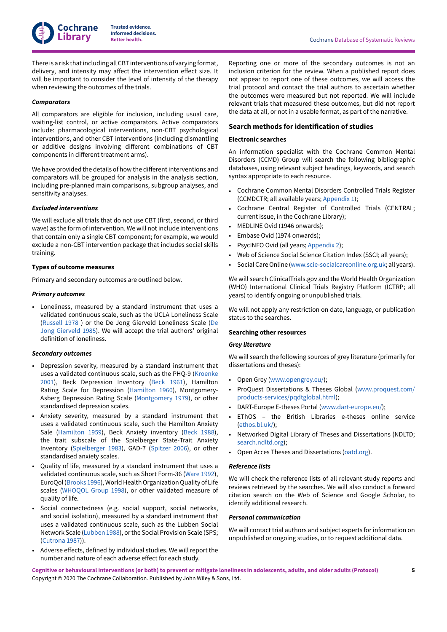There is a risk that including all CBT interventions of varying format, delivery, and intensity may affect the intervention effect size. It will be important to consider the level of intensity of the therapy when reviewing the outcomes of the trials.

#### *Comparators*

All comparators are eligible for inclusion, including usual care, waiting-list control, or active comparators. Active comparators include: pharmacological interventions, non-CBT psychological interventions, and other CBT interventions (including dismantling or additive designs involving different combinations of CBT components in different treatment arms).

We have provided the details of how the different interventions and comparators will be grouped for analysis in the analysis section, including pre-planned main comparisons, subgroup analyses, and sensitivity analyses.

#### *Excluded interventions*

We will exclude all trials that do not use CBT (first, second, or third wave) as the form of intervention. We will not include interventions that contain only a single CBT component; for example, we would exclude a non-CBT intervention package that includes social skills training.

## **Types of outcome measures**

Primary and secondary outcomes are outlined below.

#### *Primary outcomes*

• Loneliness, measured by a standard instrument that uses a validated continuous scale, such as the UCLA Loneliness Scale ([Russell 1978](#page-13-14)  ) or the De Jong Gierveld Loneliness Scale ([De](#page-11-12) Jong [Gierveld](#page-11-12) 1985). We will accept the trial authors' original definition of loneliness.

#### *Secondary outcomes*

- Depression severity, measured by a standard instrument that uses a validated continuous scale, such as the PHQ-9 [\(Kroenke](#page-12-13) [2001\)](#page-12-13), Beck Depression Inventory ([Beck 1961](#page-11-10)), Hamilton Rating Scale for Depression [\(Hamilton](#page-12-14) 1960), Montgomery-Asberg Depression Rating Scale ([Montgomery](#page-13-15) 1979), or other standardised depression scales.
- Anxiety severity, measured by a standard instrument that uses a validated continuous scale, such the Hamilton Anxiety Sale ([Hamilton](#page-12-15) 1959), Beck Anxiety inventory ([Beck 1988\)](#page-11-11), the trait subscale of the Spielberger State-Trait Anxiety Inventory ([Spielberger](#page-13-16) 1983), GAD-7 ([Spitzer](#page-14-10) 2006), or other standardised anxiety scales.
- Quality of life, measured by a standard instrument that uses a validated continuous scale, such as Short Form-36 ([Ware](#page-14-11) 1992), EuroQol ([Brooks](#page-11-13) 1996), World Health Organization Quality of Life scales ([WHOQOL](#page-14-12) Group 1998), or other validated measure of quality of life.
- Social connectedness (e.g. social support, social networks, and social isolation), measured by a standard instrument that uses a validated continuous scale, such as the Lubben Social Network Scale ([Lubben](#page-12-16) 1988), orthe Social Provision Scale (SPS; ([Cutrona](#page-11-14) 1987)).
- Adverse effects, defined by individual studies. We will report the number and nature of each adverse effect for each study.

Reporting one or more of the secondary outcomes is not an inclusion criterion for the review. When a published report does not appear to report one of these outcomes, we will access the trial protocol and contact the trial authors to ascertain whether the outcomes were measured but not reported. We will include relevant trials that measured these outcomes, but did not report the data at all, or not in a usable format, as part of the narrative.

## **Search methods for identification of studies**

## **Electronic searches**

An information specialist with the Cochrane Common Mental Disorders (CCMD) Group will search the following bibliographic databases, using relevant subject headings, keywords, and search syntax appropriate to each resource.

- Cochrane Common Mental Disorders Controlled Trials Register (CCMDCTR; all available years; [Appendix 1](#page-14-13));
- Cochrane Central Register of Controlled Trials (CENTRAL; current issue, in the Cochrane Library);
- MEDLINE Ovid (1946 onwards);
- Embase Ovid (1974 onwards);
- PsycINFO Ovid (all years; [Appendix 2\)](#page-15-0);
- Web of Science Social Science Citation Index (SSCI; all years);
- Social Care Online [\(www.scie-socialcareonline.org.uk;](http://www.scie-socialcareonline.org.uk) all years).

We will search ClinicalTrials.gov and the World Health Organization (WHO) International Clinical Trials Registry Platform (ICTRP; all years) to identify ongoing or unpublished trials.

We will not apply any restriction on date, language, or publication status to the searches.

#### **Searching other resources**

#### *Grey literature*

We will search the following sources of grey literature (primarily for dissertations and theses):

- Open Grey [\(www.opengrey.eu/](http://www.opengrey.eu/));
- ProQuest Dissertations & Theses Global ([www.proquest.com/](http://www.proquest.com/products-services/pqdtglobal.html) [products-services/pqdtglobal.html](http://www.proquest.com/products-services/pqdtglobal.html));
- DART-Europe E-theses Portal [\(www.dart-europe.eu/\)](http://www.dart-europe.eu/);
- EThOS the British Libraries e-theses online service ([ethos.bl.uk/](http://ethos.bl.uk/));
- Networked Digital Library of Theses and Dissertations (NDLTD; [search.ndltd.org\)](http://search.ndltd.org/);
- Open Acces Theses and Dissertations ([oatd.org\)](http://oatd.org/).

## *Reference lists*

We will check the reference lists of all relevant study reports and reviews retrieved by the searches. We will also conduct a forward citation search on the Web of Science and Google Scholar, to identify additional research.

#### *Personal communication*

We will contact trial authors and subject experts for information on unpublished or ongoing studies, or to request additional data.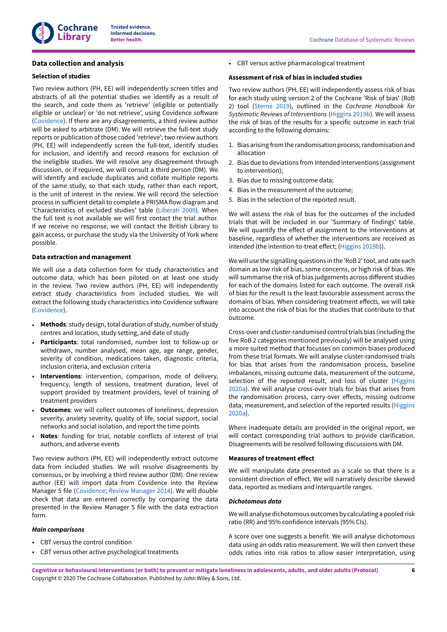## **Data collection and analysis**

## **Selection of studies**

Two review authors (PH, EE) will independently screen titles and abstracts of all the potential studies we identify as a result of the search, and code them as 'retrieve' (eligible or potentially eligible or unclear) or 'do not retrieve', using Covidence software [\(Covidence](#page-11-15)). If there are any disagreements, a third review author will be asked to arbitrate (DM). We will retrieve the full-text study reports or publication of those coded 'retrieve'; two review authors (PH, EE) will independently screen the full-text, identify studies for inclusion, and identify and record reasons for exclusion of the ineligible studies. We will resolve any disagreement through discussion, or if required, we will consult a third person (DM). We will identify and exclude duplicates and collate multiple reports of the same study, so that each study, rather than each report, is the unit of interest in the review. We will record the selection process in sufficient detail to complete a PRISMA flow diagram and 'Characteristics of excluded studies' table ([Liberati](#page-12-17) 2009). When the full text is not available we will first contact the trial author. If we receive no response, we will contact the British Library to gain access, or purchase the study via the University of York where possible.

## **Data extraction and management**

We will use a data collection form for study characteristics and outcome data, which has been piloted on at least one study in the review. Two review authors (PH, EE) will independently extract study characteristics from included studies. We will extract the following study characteristics into Covidence software [\(Covidence](#page-11-15)).

- **Methods**: study design, total duration of study, number of study centres and location, study setting, and date of study
- **Participants**: total randomised, number lost to follow-up or withdrawn, number analysed, mean age, age range, gender, severity of condition, medications taken, diagnostic criteria, inclusion criteria, and exclusion criteria
- **Interventions**: intervention, comparison, mode of delivery, frequency, length of sessions, treatment duration, level of support provided by treatment providers, level of training of treatment providers
- **Outcomes**: we will collect outcomes of loneliness, depression severity, anxiety severity, quality of life, social support, social networks and social isolation, and report the time points
- **Notes**: funding for trial, notable conflicts of interest of trial authors, and adverse events

Two review authors (PH, EE) will independently extract outcome data from included studies. We will resolve disagreements by consensus, or by involving a third review author (DM). One review author (EE) will import data from Covidence into the Review Manager 5 file [\(Covidence](#page-11-15); Review [Manager](#page-13-17) 2014). We will double check that data are entered correctly by comparing the data presented in the Review Manager 5 file with the data extraction form.

#### *Main comparisons*

- CBT versus the control condition
- CBT versus other active psychological treatments

• CBT versus active pharmacological treatment

## **Assessment of risk of bias in included studies**

Two review authors (PH, EE) will independently assess risk of bias for each study using version 2 of the Cochrane 'Risk of bias' (RoB 2) tool ([Sterne](#page-14-14) 2019), outlined in the *Cochrane Handbook for Systematic Reviews of Interventions* [\(Higgins 2019b](#page-12-18)). We will assess the risk of bias of the results for a specific outcome in each trial according to the following domains:

- 1. Bias arising from the randomisation process;randomisation and allocation
- 2. Bias due to deviations from intended interventions (assignment to intervention);
- 3. Bias due to missing outcome data;
- 4. Bias in the measurement of the outcome;
- 5. Bias in the selection of the reported result.

We will assess the risk of bias for the outcomes of the included trials that will be included in our 'Summary of findings' table. We will quantify the effect of assignment to the interventions at baseline, regardless of whether the interventions are received as intended (the intention-to-treat effect; [\(Higgins 2019b\)](#page-12-18)).

Wewill use the signalling questions in the 'RoB2'tool, and rate each domain as low risk of bias, some concerns, or high risk of bias. We will summarise the risk of bias judgements across different studies for each of the domains listed for each outcome. The overall risk of bias for the result is the least favourable assessment across the domains of bias. When considering treatment effects, we will take into account the risk of bias for the studies that contribute to that outcome.

Cross-over and cluster-randomised control trials bias (including the five RoB 2 categories mentioned previously) will be analysed using a more suited method that focusses on common biases produced from these trial formats. We will analyse cluster-randomised trials for bias that arises from the randomisation process, baseline imbalances, missing outcome data, measurement of the outcome, selection of the reported result, and loss of cluster ([Higgins](#page-12-19) [2020a](#page-12-19)). We will analyse cross-over trials for bias that arises from the randomisation process, carry-over effects, missing outcome data, measurement, and selection of the reported results ([Higgins](#page-12-19) [2020a](#page-12-19)).

Where inadequate details are provided in the original report, we will contact corresponding trial authors to provide clarification. Disagreements will be resolved following discussions with DM.

#### **Measures of treatment effect**

We will manipulate data presented as a scale so that there is a consistent direction of effect. We will narratively describe skewed data, reported as medians and interquartile ranges.

#### *Dichotomous data*

We will analyse dichotomous outcomes by calculating a pooled risk ratio (RR) and 95% confidence intervals (95% CIs).

A score over one suggests a benefit. We will analyse dichotomous data using an odds ratio measurement. We will then convert these odds ratios into risk ratios to allow easier interpretation, using

**Beta Cochrane Database of Systematic Reviews**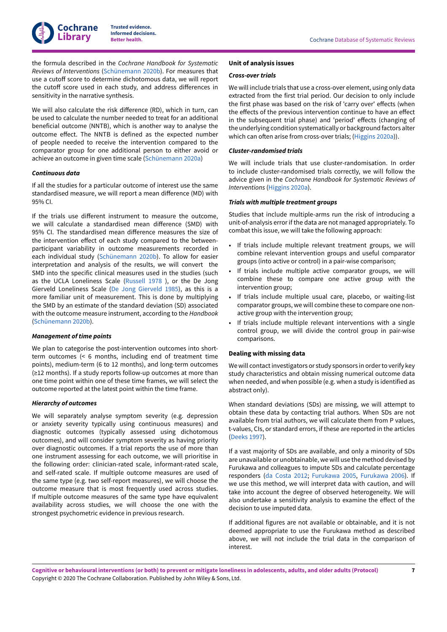**Cochrane Library**

**Trusted evidence. Informed decisions.**

the formula described in the *Cochrane Handbook for Systematic Reviews of Interventions* [\(Schünemann 2020b](#page-13-18)). For measures that use a cutoff score to determine dichotomous data, we will report the cutoff score used in each study, and address differences in sensitivity in the narrative synthesis.

We will also calculate the risk difference (RD), which in turn, can be used to calculate the number needed to treat for an additional beneficial outcome (NNTB), which is another way to analyse the outcome effect. The NNTB is defined as the expected number of people needed to receive the intervention compared to the comparator group for one additional person to either avoid or achieve an outcome in given time scale [\(Schünemann 2020a](#page-13-19))

#### *Continuous data*

If all the studies for a particular outcome of interest use the same standardised measure, we will report a mean difference (MD) with 95% CI.

If the trials use different instrument to measure the outcome, we will calculate a standardised mean difference (SMD) with 95% CI. The standardised mean difference measures the size of the intervention effect of each study compared to the betweenparticipant variability in outcome measurements recorded in each individual study [\(Schünemann 2020b\)](#page-13-18). To allow for easier interpretation and analysis of the results, we will convert the SMD into the specific clinical measures used in the studies (such as the UCLA Loneliness Scale [\(Russell 1978](#page-13-14)  ), or the De Jong Gierveld Loneliness Scale (De Jong [Gierveld](#page-11-12) 1985), as this is a more familiar unit of measurement. This is done by multiplying the SMD by an estimate of the standard deviation (SD) associated with the outcome measure instrument, according to the *Handbook* [\(Schünemann 2020b\)](#page-13-18).

#### *Management of time points*

We plan to categorise the post-intervention outcomes into shortterm outcomes (< 6 months, including end of treatment time points), medium-term (6 to 12 months), and long-term outcomes (≥12 months). If a study reports follow-up outcomes at more than one time point within one of these time frames, we will select the outcome reported at the latest point within the time frame.

#### *Hierarchy of outcomes*

We will separately analyse symptom severity (e.g. depression or anxiety severity typically using continuous measures) and diagnostic outcomes (typically assessed using dichotomous outcomes), and will consider symptom severity as having priority over diagnostic outcomes. If a trial reports the use of more than one instrument assessing for each outcome, we will prioritise in the following order: clinician-rated scale, informant-rated scale, and self-rated scale. If multiple outcome measures are used of the same type (e.g. two self-report measures), we will choose the outcome measure that is most frequently used across studies. If multiple outcome measures of the same type have equivalent availability across studies, we will choose the one with the strongest psychometric evidence in previous research.

#### **Unit of analysis issues**

#### *Cross-over trials*

We will include trials that use a cross-over element, using only data extracted from the first trial period. Our decision to only include the first phase was based on the risk of 'carry over' effects (when the effects of the previous intervention continue to have an effect in the subsequent trial phase) and 'period' effects (changing of the underlying condition systematically or background factors alter which can often arise from cross-over trials; ([Higgins 2020a](#page-12-19))).

#### *Cluster-randomised trials*

We will include trials that use cluster-randomisation. In order to include cluster-randomised trials correctly, we will follow the advice given in the *Cochrane Handbook for Systematic Reviews of Interventions* ([Higgins 2020a\)](#page-12-19).

#### *Trials with multiple treatment groups*

Studies that include multiple-arms run the risk of introducing a unit-of-analysis error if the data are not managed appropriately. To combat this issue, we will take the following approach:

- If trials include multiple relevant treatment groups, we will combine relevant intervention groups and useful comparator groups (into active or control) in a pair-wise comparison;
- If trials include multiple active comparator groups, we will combine these to compare one active group with the intervention group;
- If trials include multiple usual care, placebo, or waiting-list comparator groups, we will combine these to compare one nonactive group with the intervention group;
- If trials include multiple relevant interventions with a single control group, we will divide the control group in pair-wise comparisons.

#### **Dealing with missing data**

We will contact investigators or study sponsors in order to verify key study characteristics and obtain missing numerical outcome data when needed, and when possible (e.g. when a study is identified as abstract only).

When standard deviations (SDs) are missing, we will attempt to obtain these data by contacting trial authors. When SDs are not available from trial authors, we will calculate them from P values, t-values, CIs, or standard errors, if these are reported in the articles [\(Deeks 1997\)](#page-11-16).

If a vast majority of SDs are available, and only a minority of SDs are unavailable or unobtainable, we will use the method devised by Furukawa and colleagues to impute SDs and calculate percentage responders (da [Costa](#page-11-17) 2012; [Furukawa](#page-11-18) 2005, [Furukawa](#page-11-19) 2006). If we use this method, we will interpret data with caution, and will take into account the degree of observed heterogeneity. We will also undertake a sensitivity analysis to examine the effect of the decision to use imputed data.

If additional figures are not available or obtainable, and it is not deemed appropriate to use the Furukawa method as described above, we will not include the trial data in the comparison of interest.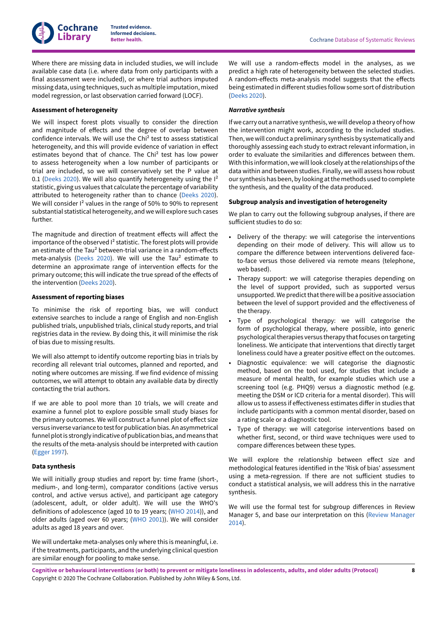Where there are missing data in included studies, we will include available case data (i.e. where data from only participants with a final assessment were included), or where trial authors imputed missing data, using techniques, such as multiple imputation, mixed model regression, or last observation carried forward (LOCF).

## **Assessment of heterogeneity**

We will inspect forest plots visually to consider the direction and magnitude of effects and the degree of overlap between confidence intervals. We will use the Chi2 test to assess statistical heterogeneity, and this will provide evidence of variation in effect estimates beyond that of chance. The Chi<sup>2</sup> test has low power to assess heterogeneity when a low number of participants or trial are included, so we will conservatively set the P value at 0.1 [\(Deeks 2020](#page-11-20)). We will also quantify heterogeneity using the  $I^2$ statistic, giving us values that calculate the percentage of variability attributed to heterogeneity rather than to chance ([Deeks 2020\)](#page-11-20). We will consider I<sup>2</sup> values in the range of 50% to 90% to represent substantial statistical heterogeneity, and we will explore such cases further.

The magnitude and direction of treatment effects will affect the importance of the observed I<sup>2</sup> statistic. The forest plots will provide an estimate of the Tau<sup>2</sup> between-trial variance in a random-effects meta-analysis ([Deeks 2020\)](#page-11-20). We will use the Tau<sup>2</sup> estimate to determine an approximate range of intervention effects for the primary outcome; this will indicate the true spread of the effects of the intervention ([Deeks 2020](#page-11-20)).

## **Assessment of reporting biases**

To minimise the risk of reporting bias, we will conduct extensive searches to include a range of English and non-English published trials, unpublished trials, clinical study reports, and trial registries data in the review. By doing this, it will minimise the risk of bias due to missing results.

We will also attempt to identify outcome reporting bias in trials by recording all relevant trial outcomes, planned and reported, and noting where outcomes are missing. If we find evidence of missing outcomes, we will attempt to obtain any available data by directly contacting the trial authors.

If we are able to pool more than 10 trials, we will create and examine a funnel plot to explore possible small study biases for the primary outcomes. We will construct a funnel plot of effect size versus inverse variance to test for publication bias. An asymmetrical funnel plot is strongly indicative of publication bias, and means that the results of the meta-analysis should be interpreted with caution [\(Egger](#page-11-21) 1997).

## **Data synthesis**

We will initially group studies and report by: time frame (short-, medium-, and long-term), comparator conditions (active versus control, and active versus active), and participant age category (adolescent, adult, or older adult). We will use the WHO's definitions of adolescence (aged 10 to 19 years; ([WHO 2014](#page-14-9))), and older adults (aged over 60 years; [\(WHO 2001](#page-14-15))). We will consider adults as aged 18 years and over.

We will undertake meta-analyses only where this is meaningful, i.e. if the treatments, participants, and the underlying clinical question are similar enough for pooling to make sense.

We will use a random-effects model in the analyses, as we predict a high rate of heterogeneity between the selected studies. A random-effects meta-analysis model suggests that the effects being estimated in different studies follow some sort of distribution [\(Deeks 2020\)](#page-11-20).

## *Narrative synthesis*

If we carry out a narrative synthesis, we will develop a theory of how the intervention might work, according to the included studies. Then,wewill conduct a preliminary synthesis by systematically and thoroughly assessing each study to extract relevant information, in order to evaluate the similarities and differences between them. With this information, we will look closely atthe relationships ofthe data within and between studies. Finally, we will assess how robust our synthesis has been, by looking atthe methods used to complete the synthesis, and the quality of the data produced.

## **Subgroup analysis and investigation of heterogeneity**

We plan to carry out the following subgroup analyses, if there are sufficient studies to do so:

- Delivery of the therapy: we will categorise the interventions depending on their mode of delivery. This will allow us to compare the difference between interventions delivered faceto-face versus those delivered via remote means (telephone, web based).
- Therapy support: we will categorise therapies depending on the level of support provided, such as supported versus unsupported. We predict that there will be a positive association between the level of support provided and the effectiveness of the therapy.
- Type of psychological therapy: we will categorise the form of psychological therapy, where possible, into generic psychological therapies versus therapy that focuses on targeting loneliness. We anticipate that interventions that directly target loneliness could have a greater positive effect on the outcomes.
- Diagnostic equivalence: we will categorise the diagnostic method, based on the tool used, for studies that include a measure of mental health, for example studies which use a screening tool (e.g. PHQ9) versus a diagnostic method (e.g. meeting the DSM or ICD criteria for a mental disorder). This will allow us to assess if effectiveness estimates differ in studies that include participants with a common mental disorder, based on a rating scale or a diagnostic tool.
- Type of therapy: we will categorise interventions based on whether first, second, or third wave techniques were used to compare differences between these types.

We will explore the relationship between effect size and methodological features identified in the 'Risk of bias' assessment using a meta-regression. If there are not sufficient studies to conduct a statistical analysis, we will address this in the narrative synthesis.

We will use the formal test for subgroup differences in Review Manager 5, and base our interpretation on this (Review [Manager](#page-13-17) [2014\)](#page-13-17).

Cognitive or behavioural interventions (or both) to prevent or mitigate loneliness in adolescents, adults, and older adults (Protocol) Copyright © 2020 The Cochrane Collaboration. Published by John Wiley & Sons, Ltd.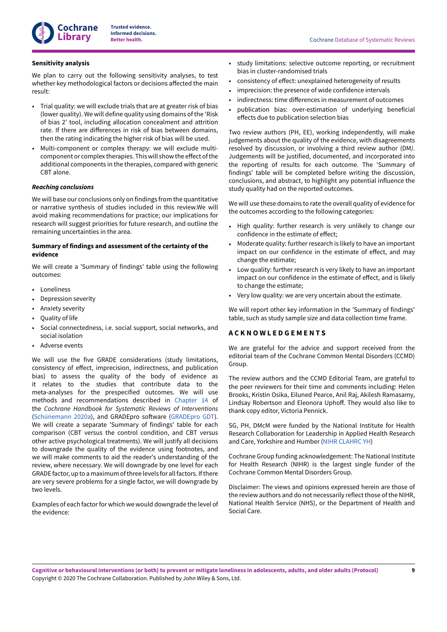#### **Sensitivity analysis**

We plan to carry out the following sensitivity analyses, to test whether key methodological factors or decisions affected the main result:

- Trial quality: we will exclude trials that are at greater risk of bias (lower quality). We will define quality using domains of the 'Risk of bias 2' tool, including allocation concealment and attrition rate. If there are differences in risk of bias between domains, then the rating indicating the higher risk of bias will be used.
- Multi-component or complex therapy: we will exclude multicomponent or complex therapies. This will show the effect of the additional components in the therapies, compared with generic CBT alone.

#### *Reaching conclusions*

We will base our conclusions only on findings from the quantitative or narrative synthesis of studies included in this review.We will avoid making recommendations for practice; our implications for research will suggest priorities for future research, and outline the remaining uncertainties in the area.

#### **Summary of findings and assessment of the certainty of the evidence**

We will create a 'Summary of findings' table using the following outcomes:

- Loneliness
- Depression severity
- Anxiety severity
- Quality of life
- Social connectedness, i.e. social support, social networks, and social isolation
- Adverse events

We will use the five GRADE considerations (study limitations, consistency of effect, imprecision, indirectness, and publication bias) to assess the quality of the body of evidence as it relates to the studies that contribute data to the meta-analyses for the prespecified outcomes. We will use methods and recommendations described in [Chapter](https://training.cochrane.org/handbook/current/chapter-14) 14 of the *Cochrane Handbook for Systematic Reviews of Interventions* (Schünemann 2020a), and [GRADEpro](#page-12-20) software (GRADEpro GDT). We will create a separate 'Summary of findings' table for each comparison (CBT versus the control condition, and CBT versus other active psychological treatments). We will justify all decisions to downgrade the quality of the evidence using footnotes, and we will make comments to aid the reader's understanding of the review, where necessary. We will downgrade by one level for each GRADE factor, up to a maximum of three levels for all factors. If there are very severe problems for a single factor, we will downgrade by two levels.

Examples of each factor for which we would downgrade the level of the evidence:

- study limitations: selective outcome reporting, or recruitment bias in cluster-randomised trials
- consistency of effect: unexplained heterogeneity of results
- imprecision: the presence of wide confidence intervals
- indirectness: time differences in measurement of outcomes
- publication bias: over-estimation of underlying beneficial effects due to publication selection bias

Two review authors (PH, EE), working independently, will make judgements about the quality of the evidence, with disagreements resolved by discussion, or involving a third review author (DM*)*. Judgements will be justified, documented, and incorporated into the reporting of results for each outcome. The 'Summary of findings' table will be completed before writing the discussion, conclusions, and abstract, to highlight any potential influence the study quality had on the reported outcomes.

We will use these domains to rate the overall quality of evidence for the outcomes according to the following categories:

- High quality: further research is very unlikely to change our confidence in the estimate of effect;
- Moderate quality: further research is likely to have an important impact on our confidence in the estimate of effect, and may change the estimate;
- Low quality: further research is very likely to have an important impact on our confidence in the estimate of effect, and is likely to change the estimate;
- Very low quality: we are very uncertain about the estimate.

We will report other key information in the 'Summary of findings' table, such as study sample size and data collection time frame.

## <span id="page-10-0"></span>**A C K N O W L E D G E M E N T S**

We are grateful for the advice and support received from the editorial team of the Cochrane Common Mental Disorders (CCMD) Group.

The review authors and the CCMD Editorial Team, are grateful to the peer reviewers for their time and comments including: Helen Brooks, Kristin Osika, Eiluned Pearce, Anil Raj, Akilesh Ramasamy, Lindsay Robertson and Eleonora Uphoff. They would also like to thank copy editor, Victoria Pennick.

SG, PH, DMcM were funded by the National Institute for Health Research Collaboration for Leadership in Applied Health Research and Care, Yorkshire and Humber (NIHR [CLAHRC](http://www.clahrc-yh.nihr.ac.uk) YH)

Cochrane Group funding acknowledgement: The National Institute for Health Research (NIHR) is the largest single funder of the Cochrane Common Mental Disorders Group.

Disclaimer: The views and opinions expressed herein are those of the review authors and do not necessarily reflect those of the NIHR, National Health Service (NHS), or the Department of Health and Social Care.

Cognitive or behavioural interventions (or both) to prevent or mitigate loneliness in adolescents, adults, and older adults (Protocol) Copyright © 2020 The Cochrane Collaboration. Published by John Wiley & Sons, Ltd.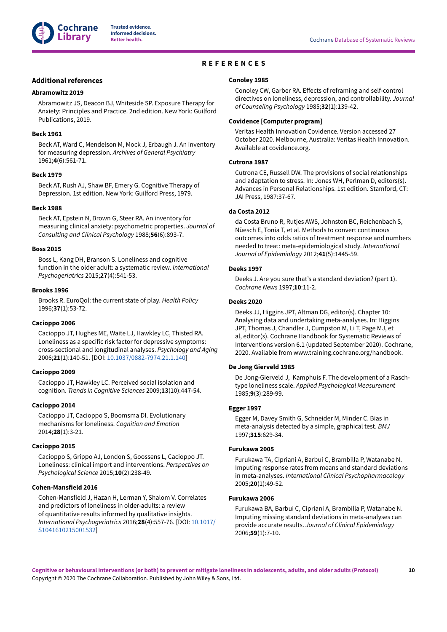

## **REFERENCES**

## <span id="page-11-0"></span>**Additional references**

#### <span id="page-11-7"></span>**Abramowitz 2019**

Abramowitz JS, Deacon BJ, Whiteside SP. Exposure Therapy for Anxiety: Principles and Practice. 2nd edition. New York: Guilford Publications, 2019.

#### <span id="page-11-10"></span>**Beck 1961**

Beck AT, Ward C, Mendelson M, Mock J, Erbaugh J. An inventory for measuring depression. *Archives of General Psychiatry* 1961;**4**(6):561-71.

#### <span id="page-11-8"></span>**Beck 1979**

Beck AT, Rush AJ, Shaw BF, Emery G. Cognitive Therapy of Depression. 1st edition. New York: Guilford Press, 1979.

## <span id="page-11-11"></span>**Beck 1988**

Beck AT, Epstein N, Brown G, Steer RA. An inventory for measuring clinical anxiety: psychometric properties. *Journal of Consulting and Clinical Psychology* 1988;**56**(6):893-7.

## <span id="page-11-5"></span>**Boss 2015**

Boss L, Kang DH, Branson S. Loneliness and cognitive function in the older adult: a systematic review. *International Psychogeriatrics* 2015;**27**(4):541-53.

## <span id="page-11-13"></span>**Brooks 1996**

Brooks R. EuroQol: the current state of play. *Health Policy* 1996;**37**(1):53-72.

#### <span id="page-11-9"></span>**Cacioppo 2006**

Cacioppo JT, Hughes ME, Waite LJ, Hawkley LC, Thisted RA. Loneliness as a specific risk factor for depressive symptoms: cross-sectional and longitudinal analyses. *Psychology and Aging* 2006;**21**(1):140-51. [DOI: [10.1037/0882-7974.21.1.140](https://doi.org/10.1037%2F0882-7974.21.1.140)]

## <span id="page-11-4"></span>**Cacioppo 2009**

Cacioppo JT, Hawkley LC. Perceived social isolation and cognition. *Trends in Cognitive Sciences* 2009;**13**(10):447-54.

#### <span id="page-11-3"></span>**Cacioppo 2014**

Cacioppo JT, Cacioppo S, Boomsma DI. Evolutionary mechanisms for loneliness. *Cognition and Emotion* 2014;**28**(1):3-21.

## <span id="page-11-1"></span>**Cacioppo 2015**

Cacioppo S, Grippo AJ, London S, Goossens L, Cacioppo JT. Loneliness: clinical import and interventions. *Perspectives on Psychological Science* 2015;**10**(2):238-49.

## <span id="page-11-2"></span>**Cohen-Mansfield 2016**

Cohen-Mansfield J, Hazan H, Lerman Y, Shalom V. Correlates and predictors of loneliness in older-adults: a review of quantitative results informed by qualitative insights. *International Psychogeriatrics* 2016;**28**(4):557-76. [DOI: [10.1017/](https://doi.org/10.1017%2FS1041610215001532) [S1041610215001532](https://doi.org/10.1017%2FS1041610215001532)]

#### <span id="page-11-6"></span>**Conoley 1985**

Conoley CW, Garber RA. Effects of reframing and self-control directives on loneliness, depression, and controllability. *Journal of Counseling Psychology* 1985;**32**(1):139-42.

#### <span id="page-11-15"></span>**Covidence [Computer program]**

Veritas Health Innovation Covidence. Version accessed 27 October 2020. Melbourne, Australia: Veritas Health Innovation. Available at covidence.org.

## <span id="page-11-14"></span>**Cutrona 1987**

Cutrona CE, Russell DW. The provisions of social relationships and adaptation to stress. In: Jones WH, Perlman D, editors(s). Advances in Personal Relationships. 1st edition. Stamford, CT: JAI Press, 1987:37-67.

## <span id="page-11-17"></span>**da Costa 2012**

da Costa Bruno R, Rutjes AWS, Johnston BC, Reichenbach S, Nüesch E, Tonia T, et al. Methods to convert continuous outcomes into odds ratios of treatment response and numbers needed to treat: meta-epidemiological study. *International Journal of Epidemiology* 2012;**41**(5):1445-59.

#### <span id="page-11-16"></span>**Deeks 1997**

Deeks J. Are you sure that's a standard deviation? (part 1). *Cochrane News* 1997;**10**:11-2.

## <span id="page-11-20"></span>**Deeks 2020**

Deeks JJ, Higgins JPT, Altman DG, editor(s). Chapter 10: Analysing data and undertaking meta-analyses. In: Higgins JPT, Thomas J, Chandler J, Cumpston M, Li T, Page MJ, et al, editor(s). Cochrane Handbook for Systematic Reviews of Interventions version 6.1 (updated September 2020). Cochrane, 2020. Available from www.training.cochrane.org/handbook.

#### <span id="page-11-12"></span>**De Jong Gierveld 1985**

De Jong-Gierveld J, Kamphuis F. The development of a Raschtype loneliness scale. *Applied Psychological Measurement* 1985;**9**(3):289-99.

## <span id="page-11-21"></span>**Egger 1997**

Egger M, Davey Smith G, Schneider M, Minder C. Bias in meta-analysis detected by a simple, graphical test. *BMJ* 1997;**315**:629-34.

## <span id="page-11-18"></span>**Furukawa 2005**

Furukawa TA, Cipriani A, Barbui C, Brambilla P, Watanabe N. Imputing response rates from means and standard deviations in meta-analyses. *International Clinical Psychopharmacology* 2005;**20**(1):49-52.

#### <span id="page-11-19"></span>**Furukawa 2006**

Furukawa BA, Barbui C, Cipriani A, Brambilla P, Watanabe N. Imputing missing standard deviations in meta-analyses can provide accurate results. *Journal of Clinical Epidemiology* 2006;**59**(1):7-10.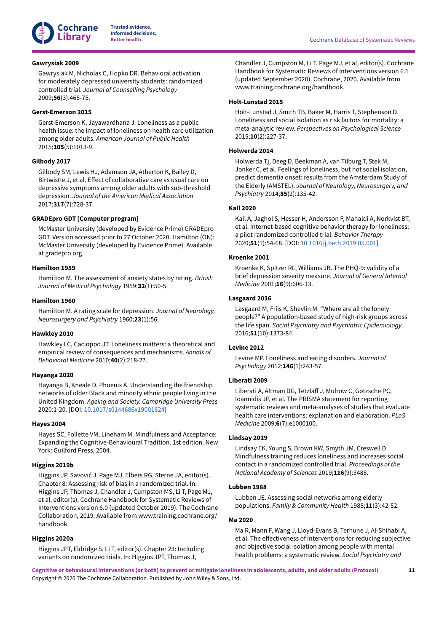

## <span id="page-12-10"></span>**Gawrysiak 2009**

Gawrysiak M, Nicholas C, Hopko DR. Behavioral activation for moderately depressed university students: randomized controlled trial. *Journal of Counselling Psychology* 2009;**56**(3):468-75.

## <span id="page-12-3"></span>**Gerst-Emerson 2015**

Gerst-Emerson K, Jayawardhana J. Loneliness as a public health issue: the impact of loneliness on health care utilization among older adults. *American Journal of Public Health* 2015;**105**(5):1013-9.

## <span id="page-12-8"></span>**Gilbody 2017**

Gilbody SM, Lewis HJ, Adamson JA, Atherton K, Bailey D, Birtwistle J, et al. Effect of collaborative care vs usual care on depressive symptoms among older adults with sub-threshold depression. *Journal of the American Medical Association* 2017;**317**(7):728-37.

## <span id="page-12-20"></span>**GRADEpro GDT [Computer program]**

McMaster University (developed by Evidence Prime) GRADEpro GDT. Version accessed prior to 27 October 2020. Hamilton (ON): McMaster University (developed by Evidence Prime). Available at gradepro.org.

## <span id="page-12-15"></span>**Hamilton 1959**

Hamilton M. The assessment of anxiety states by rating. *British Journal of Medical Psychology* 1959;**32**(1):50-5.

## <span id="page-12-14"></span>**Hamilton 1960**

Hamilton M. A rating scale for depression. *Journal of Neurology, Neurosurgery and Psychiatry* 1960;**23**(1):56.

## <span id="page-12-1"></span>**Hawkley 2010**

Hawkley LC, Cacioppo JT. Loneliness matters: a theoretical and empirical review of consequences and mechanisms. *Annals of Behavioral Medicine* 2010;**40**(2):218-27.

## <span id="page-12-0"></span>**Hayanga 2020**

Hayanga B, Kneale D, Phoenix A. Understanding the friendship networks of older Black and minority ethnic people living in the United Kingdom. *Ageing and Society. Cambridge University Press* 2020:1-20. [DOI: [10.1017/s0144686x19001624](https://doi.org/10.1017%2Fs0144686x19001624)]

## <span id="page-12-11"></span>**Hayes 2004**

Hayes SC, Follette VM, Lineham M. Mindfulness and Acceptance: Expanding the Cognitive-Behavioural Tradition. 1st edition. New York: Guilford Press, 2004.

## <span id="page-12-18"></span>**Higgins 2019b**

Higgins JP, Savović J, Page MJ, Elbers RG, Sterne JA, editor(s). Chapter 8: Assessing risk of bias in a randomized trial. In: Higgins JP, Thomas J, Chandler J, Cumpston MS, Li T, Page MJ, et al, editor(s), Cochrane Handbook for Systematic Reviews of Interventions version 6.0 (updated October 2019). The Cochrane Collaboration, 2019. Available from www.training.cochrane.org/ handbook.

#### <span id="page-12-19"></span>**Higgins 2020a**

Higgins JPT, Eldridge S, Li T, editor(s). Chapter 23: Including variants on randomized trials. In: Higgins JPT, Thomas J,

Chandler J, Cumpston M, Li T, Page MJ, et al, editor(s). Cochrane Handbook for Systematic Reviews of Interventions version 6.1 (updated September 2020). Cochrane, 2020. Available from www.training.cochrane.org/handbook.

## <span id="page-12-6"></span>**Holt-Lunstad 2015**

Holt-Lunstad J, Smith TB, Baker M, Harris T, Stephenson D. Loneliness and social isolation as risk factors for mortality: a meta-analytic review. *Perspectives on Psychological Science* 2015;**10**(2):227-37.

#### <span id="page-12-2"></span>**Holwerda 2014**

Holwerda Tj, Deeg D, Beekman A, van Tilburg T, Stek M, Jonker C, et al. Feelings of loneliness, but not social isolation, predict dementia onset: results from the Amsterdam Study of the Elderly (AMSTEL). *Journal of Neurology, Neurosurgery, and Psychiatry* 2014;**85**(2):135-42.

## <span id="page-12-12"></span>**Kall 2020**

Kall A, Jaghol S, Hesser H, Andersson F, Mahaldi A, Norkvist BT, et al. Internet-based cognitive behavior therapy for loneliness: a pilot randomized controlled trial. *Behavior Therapy* 2020;**51**(1):54-68. [DOI: [10.1016/j.beth.2019.05.001](https://doi.org/10.1016%2Fj.beth.2019.05.001)]

## <span id="page-12-13"></span>**Kroenke 2001**

Kroenke K, Spitzer RL, Williams JB. The PHQ-9: validity of a brief depression severity measure. *Journal of General Internal Medicine* 2001;**16**(9):606-13.

## <span id="page-12-4"></span>**Lasgaard 2016**

Lasgaard M, Friis K, Shevlin M. "Where are all the lonely people?" A population-based study of high-risk groups across the life span. *Social Psychiatry and Psychiatric Epidemiology* 2016;**51**(10):1373-84.

## <span id="page-12-5"></span>**Levine 2012**

Levine MP. Loneliness and eating disorders. *Journal of Psychology* 2012;**146**(1):243-57.

## <span id="page-12-17"></span>**Liberati 2009**

Liberati A, Altman DG, Tetzlaff J, Mulrow C, Gøtzsche PC, Ioannidis JP, et al. The PRISMA statement for reporting systematic reviews and meta-analyses of studies that evaluate health care interventions: explanation and elaboration. *PLoS Medicine* 2009;**6**(7):e1000100.

## <span id="page-12-7"></span>**Lindsay 2019**

Lindsay EK, Young S, Brown KW, Smyth JM, Creswell D. Mindfulness training reduces loneliness and increases social contact in a randomized controlled trial. *Proceedings of the National Academy of Sciences* 2019;**116**(9):3488.

## <span id="page-12-16"></span>**Lubben 1988**

Lubben JE. Assessing social networks among elderly populations. *Family & Community Health* 1988;**11**(3):42-52.

## <span id="page-12-9"></span>**Ma 2020**

Ma R, Mann F, Wang J, Lloyd-Evans B, Terhune J, Al-Shihabi A, et al. The effectiveness of interventions for reducing subjective and objective social isolation among people with mental health problems: a systematic review. *Social Psychiatry and*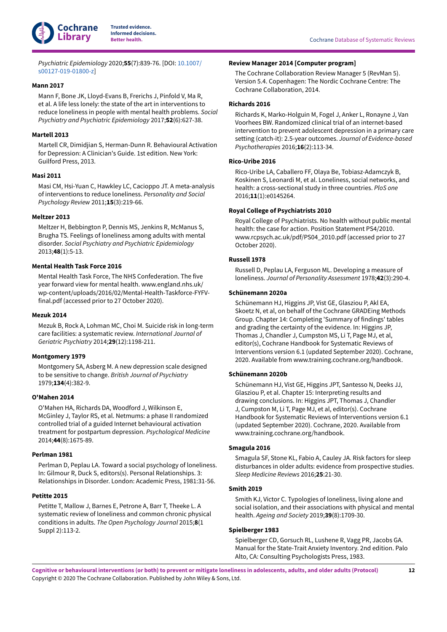

*Psychiatric Epidemiology* 2020;**55**(7):839-76. [DOI: [10.1007/](https://doi.org/10.1007%2Fs00127-019-01800-z) [s00127-019-01800-z](https://doi.org/10.1007%2Fs00127-019-01800-z)]

#### <span id="page-13-2"></span>**Mann 2017**

Mann F, Bone JK, Lloyd-Evans B, Frerichs J, Pinfold V, Ma R, et al. A life less lonely: the state of the art in interventions to reduce loneliness in people with mental health problems. *Social Psychiatry and Psychiatric Epidemiology* 2017;**52**(6):627-38.

## <span id="page-13-11"></span>**Martell 2013**

Martell CR, Dimidjian S, Herman-Dunn R. Behavioural Activation for Depression: A Clinician's Guide. 1st edition. New York: Guilford Press, 2013.

## <span id="page-13-8"></span>**Masi 2011**

Masi CM, Hsi-Yuan C, Hawkley LC, Cacioppo JT. A meta-analysis of interventions to reduce loneliness. *Personality and Social Psychology Review* 2011;**15**(3):219-66.

## <span id="page-13-5"></span>**Meltzer 2013**

Meltzer H, Bebbington P, Dennis MS, Jenkins R, McManus S, Brugha TS. Feelings of loneliness among adults with mental disorder. *Social Psychiatry and Psychiatric Epidemiology* 2013;**48**(1):5-13.

## <span id="page-13-12"></span>**Mental Health Task Force 2016**

Mental Health Task Force, The NHS Confederation. The five year forward view for mental health. www.england.nhs.uk/ wp-content/uploads/2016/02/Mental-Health-Taskforce-FYFVfinal.pdf (accessed prior to 27 October 2020).

#### <span id="page-13-7"></span>**Mezuk 2014**

Mezuk B, Rock A, Lohman MC, Choi M. Suicide risk in long-term care facilities: a systematic review. *International Journal of Geriatric Psychiatry* 2014;**29**(12):1198-211.

#### <span id="page-13-15"></span>**Montgomery 1979**

Montgomery SA, Asberg M. A new depression scale designed to be sensitive to change. *British Journal of Psychiatry* 1979;**134**(4):382-9.

#### <span id="page-13-10"></span>**O'Mahen 2014**

O'Mahen HA, Richards DA, Woodford J, Wilkinson E, McGinley J, Taylor RS, et al. Netmums: a phase II randomized controlled trial of a guided Internet behavioural activation treatment for postpartum depression. *Psychological Medicine* 2014;**44**(8):1675-89.

#### <span id="page-13-0"></span>**Perlman 1981**

Perlman D, Peplau LA. Toward a social psychology of loneliness. In: Gilmour R, Duck S, editors(s). Personal Relationships. 3: Relationships in Disorder. London: Academic Press, 1981:31-56.

#### <span id="page-13-3"></span>**Petitte 2015**

Petitte T, Mallow J, Barnes E, Petrone A, Barr T, Theeke L. A systematic review of loneliness and common chronic physical conditions in adults. *The Open Psychology Journal* 2015;**8**(1 Suppl 2):113-2.

#### <span id="page-13-17"></span>**Review Manager 2014 [Computer program]**

The Cochrane Collaboration Review Manager 5 (RevMan 5). Version 5.4. Copenhagen: The Nordic Cochrane Centre: The Cochrane Collaboration, 2014.

## <span id="page-13-9"></span>**Richards 2016**

Richards K, Marko-Holguin M, Fogel J, Anker L, Ronayne J, Van Voorhees BW. Randomized clinical trial of an internet-based intervention to prevent adolescent depression in a primary care setting (catch-it): 2.5-year outcomes. *Journal of Evidence-based Psychotherapies* 2016;**16**(2):113-34.

#### <span id="page-13-4"></span>**Rico-Uribe 2016**

Rico-Uribe LA, Caballero FF, Olaya Be, Tobiasz-Adamczyk B, Koskinen S, Leonardi M, et al. Loneliness, social networks, and health: a cross-sectional study in three countries. *PloS one* 2016;**11**(1):e0145264.

## <span id="page-13-13"></span>**Royal College of Psychiatrists 2010**

Royal College of Psychiatrists. No health without public mental health: the case for action. Position Statement PS4/2010. www.rcpsych.ac.uk/pdf/PS04\_2010.pdf (accessed prior to 27 October 2020).

## <span id="page-13-14"></span>**Russell 1978**

Russell D, Peplau LA, Ferguson ML. Developing a measure of loneliness. *Journal of Personality Assessment* 1978;**42**(3):290-4.

## <span id="page-13-19"></span>**Schünemann 2020a**

Schünemann HJ, Higgins JP, Vist GE, Glasziou P, Akl EA, Skoetz N, et al, on behalf of the Cochrane GRADEing Methods Group. Chapter 14: Completing 'Summary of findings' tables and grading the certainty of the evidence. In: Higgins JP, Thomas J, Chandler J, Cumpston MS, Li T, Page MJ, et al, editor(s), Cochrane Handbook for Systematic Reviews of Interventions version 6.1 (updated September 2020). Cochrane, 2020. Available from www.training.cochrane.org/handbook.

#### <span id="page-13-18"></span>**Schünemann 2020b**

Schünemann HJ, Vist GE, Higgins JPT, Santesso N, Deeks JJ, Glasziou P, et al. Chapter 15: Interpreting results and drawing conclusions. In: Higgins JPT, Thomas J, Chandler J, Cumpston M, Li T, Page MJ, et al, editor(s). Cochrane Handbook for Systematic Reviews of Interventions version 6.1 (updated September 2020). Cochrane, 2020. Available from www.training.cochrane.org/handbook.

#### <span id="page-13-6"></span>**Smagula 2016**

Smagula SF, Stone KL, Fabio A, Cauley JA. Risk factors for sleep disturbances in older adults: evidence from prospective studies. *Sleep Medicine Reviews* 2016;**25**:21-30.

#### <span id="page-13-1"></span>**Smith 2019**

Smith KJ, Victor C. Typologies of loneliness, living alone and social isolation, and their associations with physical and mental health. *Ageing and Society* 2019;**39**(8):1709-30.

## <span id="page-13-16"></span>**Spielberger 1983**

Spielberger CD, Gorsuch RL, Lushene R, Vagg PR, Jacobs GA. Manual for the State-Trait Anxiety Inventory. 2nd edition. Palo Alto, CA: Consulting Psychologists Press, 1983.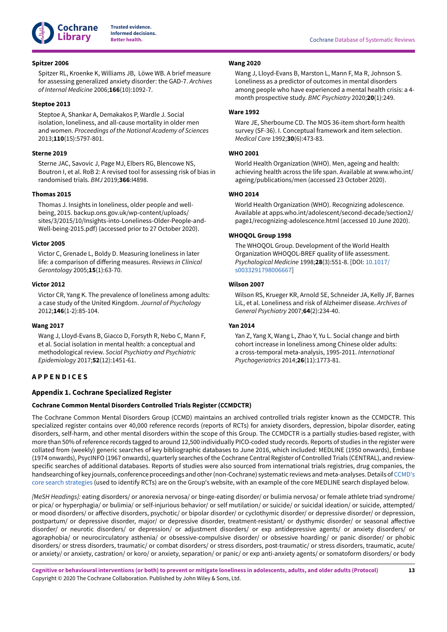

#### <span id="page-14-10"></span>**Spitzer 2006**

Spitzer RL, Kroenke K, Williams JB, Löwe WB. A brief measure for assessing generalized anxiety disorder: the GAD-7. *Archives of Internal Medicine* 2006;**166**(10):1092-7.

#### <span id="page-14-3"></span>**Steptoe 2013**

Steptoe A, Shankar A, Demakakos P, Wardle J. Social isolation, loneliness, and all-cause mortality in older men and women. *Proceedings of the National Academy of Sciences* 2013;**110**(15):5797-801.

#### <span id="page-14-14"></span>**Sterne 2019**

Sterne JAC, Savovic J, Page MJ, Elbers RG, Blencowe NS, Boutron I, et al. RoB 2: A revised tool for assessing risk of bias in randomised trials. *BMJ* 2019;**366**:I4898.

## <span id="page-14-5"></span>**Thomas 2015**

Thomas J. Insights in loneliness, older people and wellbeing, 2015. backup.ons.gov.uk/wp-content/uploads/ sites/3/2015/10/Insights-into-Loneliness-Older-People-and-Well-being-2015.pdf) (accessed prior to 27 October 2020).

#### <span id="page-14-1"></span>**Victor 2005**

Victor C, Grenade L, Boldy D. Measuring loneliness in later life: a comparison of diIering measures. *Reviews in Clinical Gerontology* 2005;**15**(1):63-70.

#### <span id="page-14-4"></span>**Victor 2012**

Victor CR, Yang K. The prevalence of loneliness among adults: a case study of the United Kingdom. *Journal of Psychology* 2012;**146**(1-2):85-104.

#### <span id="page-14-2"></span>**Wang 2017**

Wang J, Lloyd-Evans B, Giacco D, Forsyth R, Nebo C, Mann F, et al. Social isolation in mental health: a conceptual and methodological review. *Social Psychiatry and Psychiatric Epidemiology* 2017;**52**(12):1451-61.

#### <span id="page-14-0"></span>**A P P E N D I C E S**

#### <span id="page-14-13"></span>**Appendix 1. CochraneSpecialized Register**

## **Cochrane Common Mental Disorders Controlled Trials Register (CCMDCTR)**

The Cochrane Common Mental Disorders Group (CCMD) maintains an archived controlled trials register known as the CCMDCTR. This specialized register contains over 40,000 reference records (reports of RCTs) for anxiety disorders, depression, bipolar disorder, eating disorders, self-harm, and other mental disorders within the scope of this Group. The CCMDCTR is a partially studies-based register, with more than 50% ofreference records tagged to around 12,500 individually PICO-coded study records. Reports of studies in the register were collated from (weekly) generic searches of key bibliographic databases to June 2016, which included: MEDLINE (1950 onwards), Embase (1974 onwards), PsycINFO(1967 onwards), quarterly searches ofthe Cochrane Central Register of Controlled Trials (CENTRAL), and reviewspecific searches of additional databases. Reports of studies were also sourced from international trials registries, drug companies, the handsearching of key journals, conference proceedings and other (non-Cochrane) systematic reviews and meta-analyses. Details of [CCMD's](http://cmd.cochrane.org/search-strategies-identification-studies) core search [strategies](http://cmd.cochrane.org/search-strategies-identification-studies) (used to identify RCTs) are on the Group's website, with an example of the core MEDLINE search displayed below.

*[*M*eSH Headings]:* eating disorders/ or anorexia nervosa/ or binge-eating disorder/ or bulimia nervosa/ or female athlete triad syndrome/ or pica/ or hyperphagia/ or bulimia/ or self-injurious behavior/ or self mutilation/ or suicide/ or suicidal ideation/ or suicide, attempted/ or mood disorders/ or affective disorders, psychotic/ or bipolar disorder/ or cyclothymic disorder/ or depressive disorder/ or depression, postpartum/ or depressive disorder, major/ or depressive disorder, treatment-resistant/ or dysthymic disorder/ or seasonal affective disorder/ or neurotic disorders/ or depression/ or adjustment disorders/ or exp antidepressive agents/ or anxiety disorders/ or agoraphobia/ or neurocirculatory asthenia/ or obsessive-compulsive disorder/ or obsessive hoarding/ or panic disorder/ or phobic disorders/ or stress disorders, traumatic/ or combat disorders/ or stress disorders, post-traumatic/ or stress disorders, traumatic, acute/ or anxiety/ or anxiety, castration/ or koro/ or anxiety, separation/ or panic/ or exp anti-anxiety agents/ or somatoform disorders/ or body

#### Cognitive or behavioural interventions (or both) to prevent or mitigate loneliness in adolescents, adults, and older adults (Protocol) Copyright © 2020 The Cochrane Collaboration. Published by John Wiley & Sons, Ltd.

#### <span id="page-14-7"></span>**Wang 2020**

Wang J, Lloyd-Evans B, Marston L, Mann F, Ma R, Johnson S. Loneliness as a predictor of outcomes in mental disorders among people who have experienced a mental health crisis: a 4 month prospective study. *BMC Psychiatry* 2020;**20**(1):249.

## <span id="page-14-11"></span>**Ware 1992**

Ware JE, Sherboume CD. The MOS 36-item short-form health survey (SF-36). I. Conceptual framework and item selection. *Medical Care* 1992;**30**(6):473-83.

#### <span id="page-14-15"></span>**WHO 2001**

World Health Organization (WHO). Men, ageing and health: achieving health across the life span. Available at www.who.int/ ageing/publications/men (accessed 23 October 2020).

## <span id="page-14-9"></span>**WHO 2014**

World Health Organization (WHO). Recognizing adolescence. Available at apps.who.int/adolescent/second-decade/section2/ page1/recognizing-adolescence.html (accessed 10 June 2020).

#### <span id="page-14-12"></span>**WHOQOL Group 1998**

The WHOQOL Group. Development of the World Health Organization WHOQOL-BREF quality of life assessment. *Psychological Medicine* 1998;**28**(3):551-8. [DOI: [10.1017/](https://doi.org/10.1017%2Fs0033291798006667) [s0033291798006667\]](https://doi.org/10.1017%2Fs0033291798006667)

## <span id="page-14-8"></span>**Wilson 2007**

Wilson RS, Krueger KR, Arnold SE, Schneider JA, Kelly JF, Barnes LiL, et al. Loneliness and risk of Alzheimer disease. *Archives of General Psychiatry* 2007;**64**(2):234-40.

#### <span id="page-14-6"></span>**Yan 2014**

Yan Z, Yang X, Wang L, Zhao Y, Yu L. Social change and birth cohort increase in loneliness among Chinese older adults: a cross-temporal meta-analysis, 1995-2011. *International Psychogeriatrics* 2014;**26**(11):1773-81.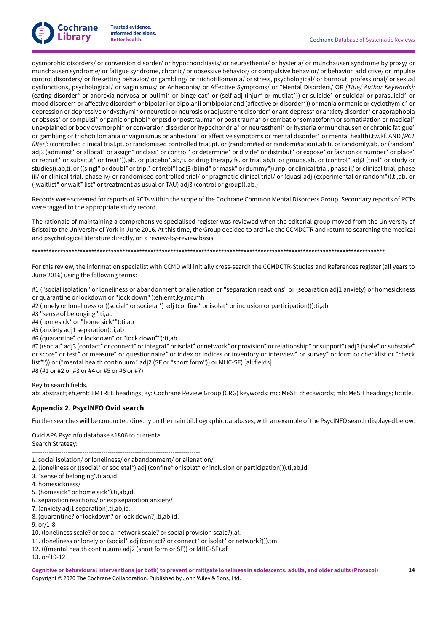

dysmorphic disorders/ or conversion disorder/ or hypochondriasis/ or neurasthenia/ or hysteria/ or munchausen syndrome by proxy/ or munchausen syndrome/ or fatigue syndrome, chronic/ or obsessive behavior/ or compulsive behavior/ or behavior, addictive/ or impulse control disorders/ or firesetting behavior/ or gambling/ or trichotillomania/ or stress, psychological/ or burnout, professional/ or sexual dysfunctions, psychological/ or vaginismus/ or Anhedonia/ or AIective Symptoms/ or \*Mental Disorders/ OR *[Title/ Author Keywords]:* (eating disorder\* or anorexia nervosa or bulimi\* or binge eat\* or (self adj (injur\* or mutilat\*)) or suicide\* or suicidal or parasuicid\* or mood disorder\* or affective disorder\* or bipolar i or bipolar ii or (bipolar and (affective or disorder\*)) or mania or manic or cyclothymic\* or depression or depressive or dysthymi\* or neurotic or neurosis or adjustment disorder\* or antidepress\* or anxiety disorder\* or agoraphobia or obsess\* or compulsi\* or panic or phobi\* or ptsd or posttrauma\* or post trauma\* or combat or somatoform or somati#ation or medical\* unexplained or body dysmorphi<sup>\*</sup> or conversion disorder or hypochondria<sup>\*</sup> or neurastheni<sup>\*</sup> or hysteria or munchausen or chronic fatigue<sup>\*</sup> or gambling or trichotillomania or vaginismus or anhedoni\* or aIective symptoms or mental disorder\* or mental health).tw,kf. AND *[RCT filter]:* (controlled clinical trial.pt. or randomised controlled trial.pt. or (randomi#ed or randomi#ation).ab,ti. or randomly.ab. or (random\* adj3 (administ\* or allocat\* or assign\* or class\* or control\* or determine\* or divide\* or distribut\* or expose\* or fashion or number\* or place\* or recruit\* or subsitut\* or treat\*)).ab. or placebo\*.ab,ti. or drug therapy.fs. or trial.ab,ti. or groups.ab. or (control\* adj3 (trial\* or study or studies)).ab,ti. or ((singl\* or doubl\* or tripl\* or trebl\*) adj3 (blind\* or mask\* or dummy\*)).mp. or clinical trial, phase ii/ or clinical trial, phase iii/ or clinical trial, phase iv/ or randomised controlled trial/ or pragmatic clinical trial/ or (quasi adj (experimental or random\*)).ti,ab. or ((waitlist\* or wait\* list\* or treatment as usual or TAU) adj3 (control or group)).ab.)

Records were screened for reports of RCTs within the scope of the Cochrane Common Mental Disorders Group. Secondary reports of RCTs were tagged to the appropriate study record.

The rationale of maintaining a comprehensive specialised register was reviewed when the editorial group moved from the University of Bristol to the University of York in June 2016. At this time, the Group decided to archive the CCMDCTR and return to searching the medical and psychological literature directly, on a review-by-review basis.

\*\*\*\*\*\*\*\*\*\*\*\*\*\*\*\*\*\*\*\*\*\*\*\*\*\*\*\*\*\*\*\*\*\*\*\*\*\*\*\*\*\*\*\*\*\*\*\*\*\*\*\*\*\*\*\*\*\*\*\*\*\*\*\*\*\*\*\*\*\*\*\*\*\*\*\*\*\*\*\*\*\*\*\*\*\*\*\*\*\*\*\*\*\*\*\*\*\*\*\*\*\*\*\*\*\*\*\*\*\*\*\*\*\*\*\*\*\*\*\*\*\*\*\*\*

For this review, the information specialist with CCMD will initially cross-search the CCMDCTR-Studies and References register (all years to June 2016) using the following terms:

#1 ("social isolation" or loneliness or abandonment or alienation or "separation reactions" or (separation adj1 anxiety) or homesickness or quarantine or lockdown or "lock down" ):eh,emt,ky,mc,mh

#2 (lonely or loneliness or ((social\* or societal\*) adj (confine\* or isolat\* or inclusion or participation))):ti,ab

#3 "sense of belonging":ti,ab

#4 (homesick\* or "home sick\*"):ti,ab

#5 (anxiety adj1 separation):ti,ab

#6 (quarantine\* or lockdown\* or "lock down\*"):ti,ab

#7 ((social\* adj3 (contact\* or connect\* or integrat\* or isolat\* or network\* or provision\* or relationship\* or support\*) adj3 (scale\* or subscale\* or score\* or test\* or measure\* or questionnaire\* or index or indices or inventory or interview\* or survey\* or form or checklist or "check list\*")) or ("mental health continuum" adj2 (SF or "short form")) or MHC-SF) [all fields]

#8 (#1 or #2 or #3 or #4 or #5 or #6 or #7)

Key to search fields. ab: abstract; eh,emt: EMTREE headings; ky: Cochrane Review Group (CRG) keywords; mc: MeSH checkwords; mh: MeSH headings; ti:title.

## <span id="page-15-0"></span>**Appendix 2. PsycINFO Ovid search**

Further searches will be conducted directly on the main bibliographic databases, with an example of the PsycINFO search displayed below.

Ovid APA PsycInfo database <1806 to current> Search Strategy:

--------------------------------------------------------------------------------

1. social isolation/ or loneliness/ or abandonment/ or alienation/

- 2. (loneliness or ((social\* or societal\*) adj (confine\* or isolat\* or inclusion or participation))).ti,ab,id.
- 3. "sense of belonging".ti,ab,id.
- 4. homesickness/
- 5. (homesick\* or home sick\*).ti,ab,id.
- 6. separation reactions/ or exp separation anxiety/
- 7. (anxiety adj1 separation).ti,ab,id.
- 8. (quarantine? or lockdown? or lock down?).ti,ab,id.

9. or/1-8

10. (loneliness scale? or social network scale? or social provision scale?).af.

11. (loneliness or lonely or (social\* adj (contact? or connect\* or isolat\* or network?))).tm.

12. (((mental health continuum) adj2 (short form or SF)) or MHC-SF).af.

13. or/10-12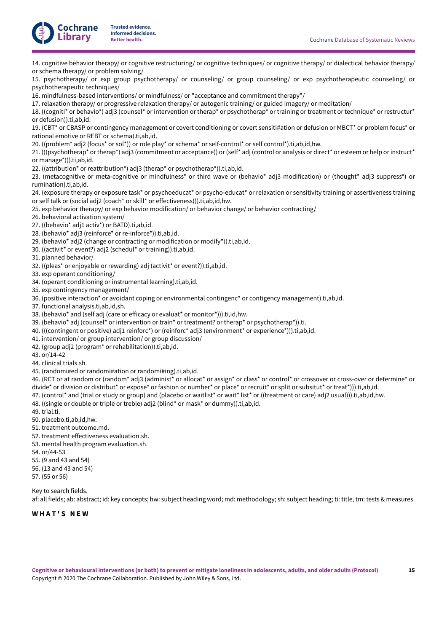

14. cognitive behavior therapy/ or cognitive restructuring/ or cognitive techniques/ or cognitive therapy/ or dialectical behavior therapy/ or schema therapy/ or problem solving/

15. psychotherapy/ or exp group psychotherapy/ or counseling/ or group counseling/ or exp psychotherapeutic counseling/ or psychotherapeutic techniques/

16. mindfulness-based interventions/ or mindfulness/ or "acceptance and commitment therapy"/

17. relaxation therapy/ or progressive relaxation therapy/ or autogenic training/ or guided imagery/ or meditation/

18. ((cogniti\* or behavio\*) adj3 (counsel\* or intervention or therap\* or psychotherap\* or training or treatment or technique\* or restructur\* or defusion)).ti,ab,id.

19. (CBT\* or CBASP or contingency management or covert conditioning or covert sensiti#ation or defusion or MBCT\* or problem focus\* or rational emotive or REBT or schema).ti,ab,id.

20. ((problem\* adj2 (focus\* or sol\*)) or role play\* or schema\* or self-control\* or self control\*).ti,ab,id,hw.

21. (((psychotherap\* or therap\*) adj3 (commitment or acceptance)) or (self\* adj (control or analysis or direct\* or esteem or help or instruct\* or manage\*))).ti,ab,id.

22. ((attribution\* or reattribution\*) adj3 (therap\* or psychotherap\*)).ti,ab,id.

23. (metacognitive or meta-cognitive or mindfulness\* or third wave or (behavio\* adj3 modification) or (thought\* adj3 suppress\*) or rumination).ti,ab,id.

24. (exposure therapy or exposure task\* or psychoeducat\* or psycho-educat\* or relaxation or sensitivity training or assertiveness training or self talk or (social adj2 (coach\* or skill\* or effectiveness))).ti,ab,id,hw.

25. exp behavior therapy/ or exp behavior modification/ or behavior change/ or behavior contracting/

26. behavioral activation system/

27. ((behavio\* adj1 activ\*) or BATD).ti,ab,id.

28. (behavio\* adj3 (reinforce\* or re-inforce\*)).ti,ab,id.

29. (behavio\* adj2 (change or contracting or modification or modify\*)).ti,ab,id.

30. ((activit\* or event?) adj2 (schedul\* or training)).ti,ab,id.

31. planned behavior/

32. ((pleas\* or enjoyable or rewarding) adj (activit\* or event?)).ti,ab,id.

33. exp operant conditioning/

34. (operant conditioning or instrumental learning).ti,ab,id.

35. exp contingency management/

36. (positive interaction\* or avoidant coping or environmental contingenc\* or contigency management).ti,ab,id.

37. functional analysis.ti,ab,id,sh.

38. (behavio\* and (self adj (care or efficacy or evaluat\* or monitor\*))).ti,id,hw.

39. (behavio\* adj (counsel\* or intervention or train\* or treatment? or therap\* or psychotherap\*)).ti.

40. (((contingent or positive) adj1 reinforc\*) or (reinforc\* adj3 (environment\* or experience\*))).ti,ab,id.

41. intervention/ or group intervention/ or group discussion/

42. (group adj2 (program\* or rehabilitation)).ti,ab,id.

43. or/14-42

44. clinical trials.sh.

45. (randomi#ed or randomi#ation or randomi#ing).ti,ab,id.

46. (RCT or at random or (random\* adj3 (administ\* or allocat\* or assign\* or class\* or control\* or crossover or cross-over or determine\* or divide\* or division or distribut\* or expose\* or fashion or number\* or place\* or recruit\* or split or subsitut\* or treat\*))).ti,ab,id.

47. (control\* and (trial or study or group) and (placebo or waitlist\* or wait\* list\* or ((treatment or care) adj2 usual))).ti,ab,id,hw.

48. ((single or double or triple or treble) adj2 (blind\* or mask\* or dummy)).ti,ab,id.

49. trial.ti.

50. placebo.ti,ab,id,hw.

51. treatment outcome.md.

52. treatment effectiveness evaluation.sh.

53. mental health program evaluation.sh.

54. or/44-53

55. (9 and 43 and 54)

56. (13 and 43 and 54)

57. (55 or 56)

Key to search fields.

af: all fields; ab: abstract; id: key concepts; hw: subject heading word; md: methodology; sh: subject heading; ti: title, tm: tests & measures.

## <span id="page-16-0"></span>**W H A T ' S N E W**